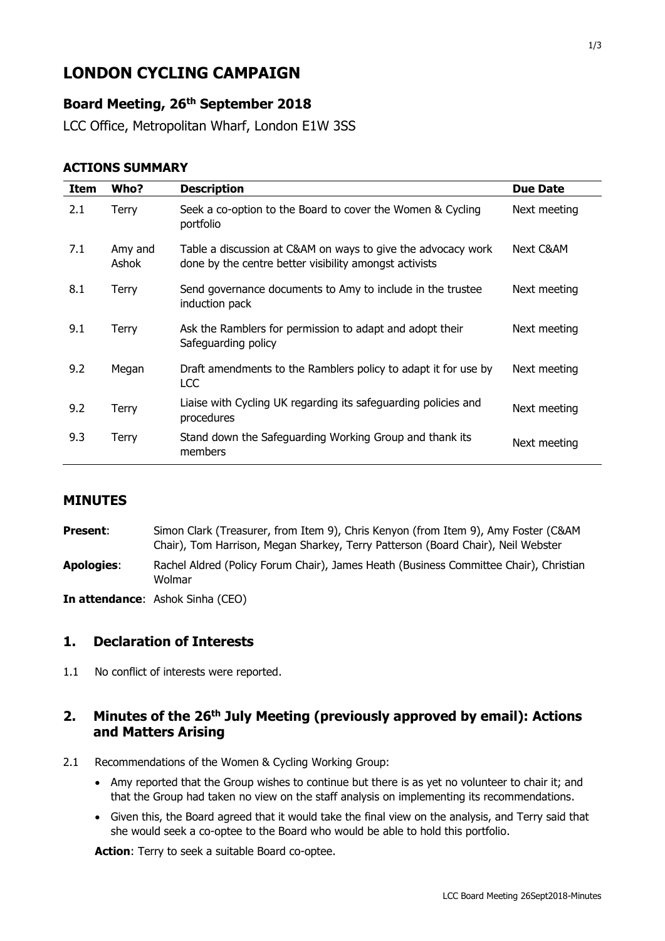# **LONDON CYCLING CAMPAIGN**

# **Board Meeting, 26th September 2018**

LCC Office, Metropolitan Wharf, London E1W 3SS

#### **ACTIONS SUMMARY**

| Item | Who?             | <b>Description</b>                                                                                                     | <b>Due Date</b> |
|------|------------------|------------------------------------------------------------------------------------------------------------------------|-----------------|
| 2.1  | Terry            | Seek a co-option to the Board to cover the Women & Cycling<br>portfolio                                                | Next meeting    |
| 7.1  | Amy and<br>Ashok | Table a discussion at C&AM on ways to give the advocacy work<br>done by the centre better visibility amongst activists | Next C&AM       |
| 8.1  | Terry            | Send governance documents to Amy to include in the trustee<br>induction pack                                           | Next meeting    |
| 9.1  | Terry            | Ask the Ramblers for permission to adapt and adopt their<br>Safeguarding policy                                        | Next meeting    |
| 9.2  | Megan            | Draft amendments to the Ramblers policy to adapt it for use by<br><b>LCC</b>                                           | Next meeting    |
| 9.2  | Terry            | Liaise with Cycling UK regarding its safeguarding policies and<br>procedures                                           | Next meeting    |
| 9.3  | Terry            | Stand down the Safeguarding Working Group and thank its<br>members                                                     | Next meeting    |

#### **MINUTES**

**Present:** Simon Clark (Treasurer, from Item 9), Chris Kenyon (from Item 9), Amy Foster (C&AM Chair), Tom Harrison, Megan Sharkey, Terry Patterson (Board Chair), Neil Webster **Apologies**: Rachel Aldred (Policy Forum Chair), James Heath (Business Committee Chair), Christian Wolmar

**In attendance**: Ashok Sinha (CEO)

#### **1. Declaration of Interests**

1.1 No conflict of interests were reported.

# **2. Minutes of the 26 th July Meeting (previously approved by email): Actions and Matters Arising**

- 2.1 Recommendations of the Women & Cycling Working Group:
	- Amy reported that the Group wishes to continue but there is as yet no volunteer to chair it; and that the Group had taken no view on the staff analysis on implementing its recommendations.
	- Given this, the Board agreed that it would take the final view on the analysis, and Terry said that she would seek a co-optee to the Board who would be able to hold this portfolio.

**Action**: Terry to seek a suitable Board co-optee.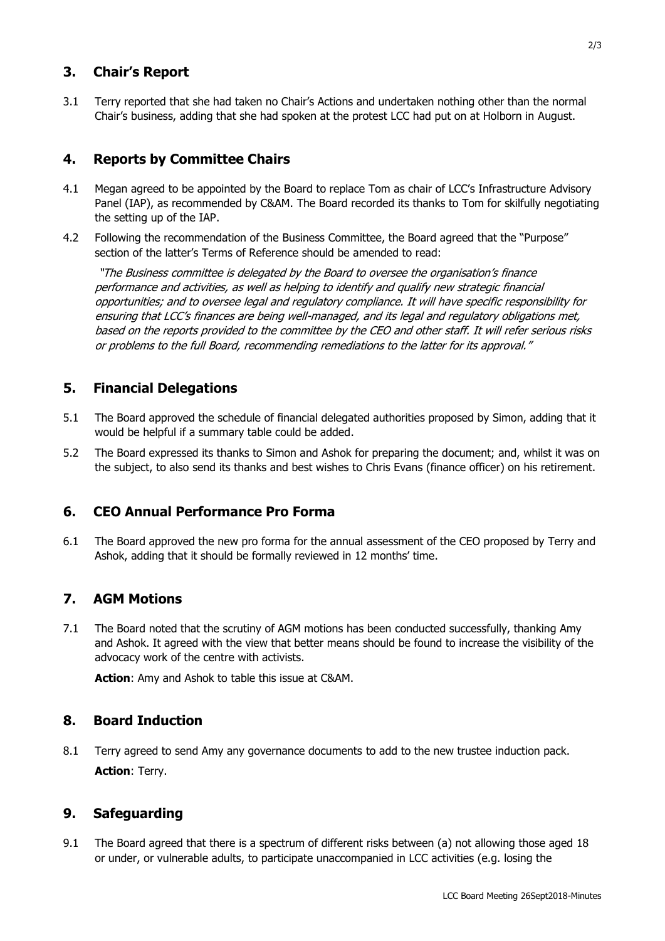# **3. Chair's Report**

3.1 Terry reported that she had taken no Chair's Actions and undertaken nothing other than the normal Chair's business, adding that she had spoken at the protest LCC had put on at Holborn in August.

# **4. Reports by Committee Chairs**

- 4.1 Megan agreed to be appointed by the Board to replace Tom as chair of LCC's Infrastructure Advisory Panel (IAP), as recommended by C&AM. The Board recorded its thanks to Tom for skilfully negotiating the setting up of the IAP.
- 4.2 Following the recommendation of the Business Committee, the Board agreed that the "Purpose" section of the latter's Terms of Reference should be amended to read:

"The Business committee is delegated by the Board to oversee the organisation's finance performance and activities, as well as helping to identify and qualify new strategic financial opportunities; and to oversee legal and regulatory compliance. It will have specific responsibility for ensuring that LCC's finances are being well-managed, and its legal and regulatory obligations met, based on the reports provided to the committee by the CEO and other staff. It will refer serious risks or problems to the full Board, recommending remediations to the latter for its approval."

# **5. Financial Delegations**

- 5.1 The Board approved the schedule of financial delegated authorities proposed by Simon, adding that it would be helpful if a summary table could be added.
- 5.2 The Board expressed its thanks to Simon and Ashok for preparing the document; and, whilst it was on the subject, to also send its thanks and best wishes to Chris Evans (finance officer) on his retirement.

## **6. CEO Annual Performance Pro Forma**

6.1 The Board approved the new pro forma for the annual assessment of the CEO proposed by Terry and Ashok, adding that it should be formally reviewed in 12 months' time.

## **7. AGM Motions**

7.1 The Board noted that the scrutiny of AGM motions has been conducted successfully, thanking Amy and Ashok. It agreed with the view that better means should be found to increase the visibility of the advocacy work of the centre with activists.

**Action**: Amy and Ashok to table this issue at C&AM.

## **8. Board Induction**

8.1 Terry agreed to send Amy any governance documents to add to the new trustee induction pack. **Action**: Terry.

## **9. Safeguarding**

9.1 The Board agreed that there is a spectrum of different risks between (a) not allowing those aged 18 or under, or vulnerable adults, to participate unaccompanied in LCC activities (e.g. losing the